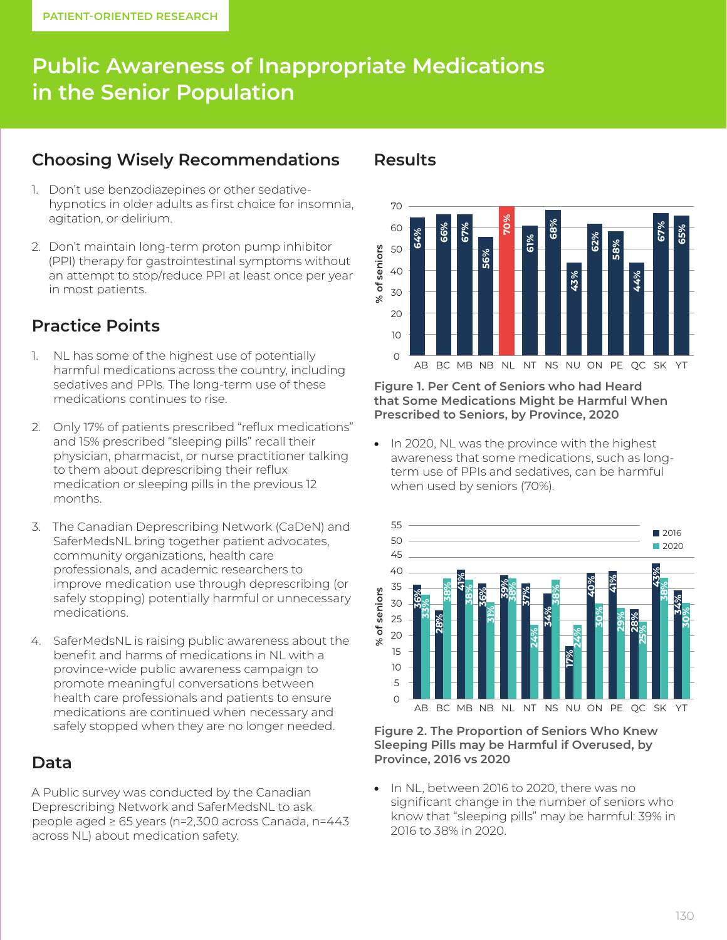# **Public Awareness of Inappropriate Medications in the Senior Population**

# **Choosing Wisely Recommendations**

- 1. Don't use benzodiazepines or other sedativehypnotics in older adults as first choice for insomnia, agitation, or delirium.
- 2. Don't maintain long-term proton pump inhibitor (PPI) therapy for gastrointestinal symptoms without an attempt to stop/reduce PPI at least once per year in most patients.

# **Practice Points**

- 1. NL has some of the highest use of potentially harmful medications across the country, including sedatives and PPIs. The long-term use of these medications continues to rise.
- 2. Only 17% of patients prescribed "reflux medications" and 15% prescribed "sleeping pills" recall their physician, pharmacist, or nurse practitioner talking to them about deprescribing their reflux medication or sleeping pills in the previous 12 months.
- 3. The Canadian Deprescribing Network (CaDeN) and SaferMedsNL bring together patient advocates, community organizations, health care professionals, and academic researchers to improve medication use through deprescribing (or safely stopping) potentially harmful or unnecessary medications.
- 4. SaferMedsNL is raising public awareness about the benefit and harms of medications in NL with a province-wide public awareness campaign to promote meaningful conversations between health care professionals and patients to ensure medications are continued when necessary and safely stopped when they are no longer needed.

#### **Data**

A Public survey was conducted by the Canadian Deprescribing Network and SaferMedsNL to ask people aged ≥ 65 years (n=2,300 across Canada, n=443 across NL) about medication safety.

#### **Results**



**Figure 1. Per Cent of Seniors who had Heard that Some Medications Might be Harmful When Prescribed to Seniors, by Province, 2020**

• In 2020, NL was the province with the highest awareness that some medications, such as longterm use of PPIs and sedatives, can be harmful when used by seniors (70%).



**Figure 2. The Proportion of Seniors Who Knew Sleeping Pills may be Harmful if Overused, by Province, 2016 vs 2020**

In NL, between 2016 to 2020, there was no significant change in the number of seniors who know that "sleeping pills" may be harmful: 39% in 2016 to 38% in 2020.